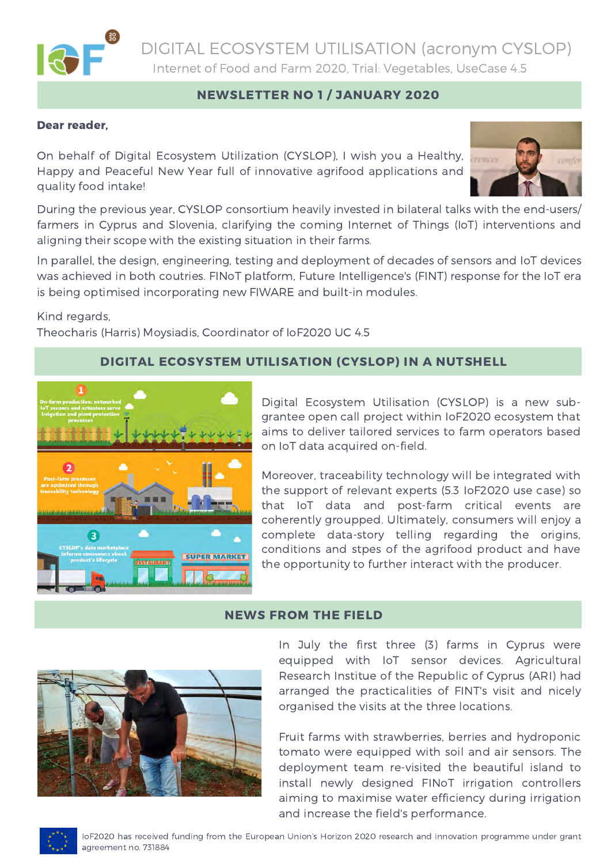

DIGITAL ECOSYSTEM UTILISATION (acronym CYSLOP) Internet of Food and Farm 2020, Trial: Vegetables, UseCase 4.5

# NEWSLETTER NO 1 / JANUARY 2020

#### Dear reader,

On behalf of Digital Ecosystem Utilization (CYSLOP), I wish you a Healthy, Happy and Peaceful New Year full of innovative agrifood applications and quality food intake!



During the previous year, CYSLOP consortium heavily invested in bilateral talks with the end-users/ farmers in Cyprus and Slovenia, clarifying the coming Internet of Things (IoT) interventions and aligning their scope with the existing situation in their farms.

In parallel, the design, engineering, testing and deployment of decades of sensors and IoT devices was achieved in both coutries. FINoT platform, Future Intelligence's (FINT) response for the IoT era is being optimised incorporating new FIWARE and built-in modules.

Kind regards,

Theocharis (Harris) Moysiadis, Coordinator of IoF2020 UC 4.5

# DIGITAL ECOSYSTEM UTILISATION (CYSLOP) IN A NUTSHELL



Digital Ecosystem Utilisation (CYSLOP) is a new subgrantee open call project within IoF2020 ecosystem that aims to deliver tailored services to farm operators based on IoT data acquired on-field.

Moreover, traceability technology will be integrated with the support of relevant experts (5.3 IoF2020 use case) so that IoT data and post-farm critical events are coherently groupped. Ultimately, consumers will enjoy a complete data-story telling regarding the origins, conditions and stpes of the agrifood product and have the opportunity to further interact with the producer.

#### NEWS FROM THE FIELD



In July the first three (3) farms in Cyprus were equipped with IoT sensor devices. Agricultural Research Institue of the Republic of Cyprus (ARI) had arranged the practicalities of FINT's visit and nicely organised the visits at the three locations.

Fruit farms with strawberries, berries and hydroponic tomato were equipped with soil and air sensors. The deployment team re-visited the beautiful island to install newly designed FINoT irrigation controllers aiming to maximise water efficiency during irrigation and increase the field's performance.

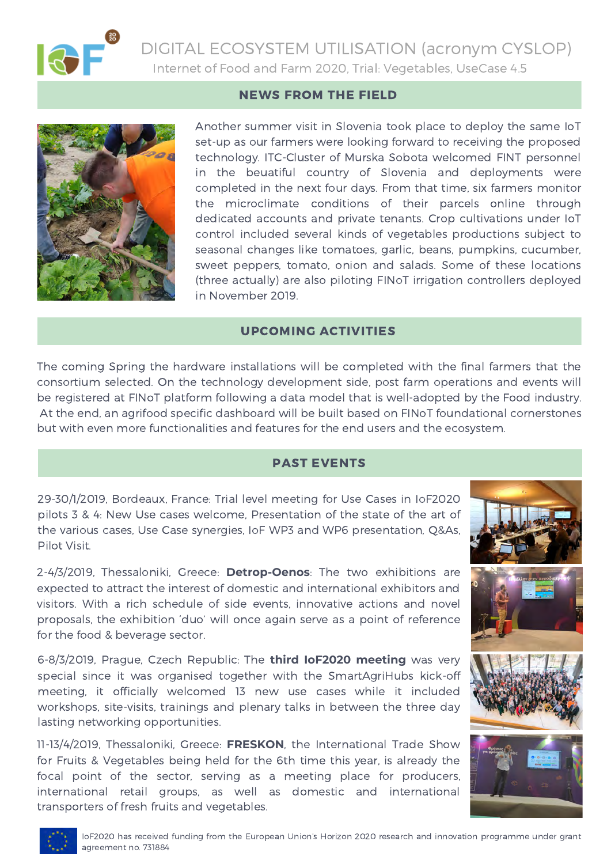

DIGITAL ECOSYSTEM UTILISATION (acronym CYSLOP) Internet of Food and Farm 2020, Trial: Vegetables, UseCase 4.5

## NEWS FROM THE FIELD



Another summer visit in Slovenia took place to deploy the same IoT set-up as our farmers were looking forward to receiving the proposed technology. ITC-Cluster of Murska Sobota welcomed FINT personnel in the beuatiful country of Slovenia and deployments were completed in the next four days. From that time, six farmers monitor the microclimate conditions of their parcels online through dedicated accounts and private tenants. Crop cultivations under IoT control included several kinds of vegetables productions subject to seasonal changes like tomatoes, garlic, beans, pumpkins, cucumber, sweet peppers, tomato, onion and salads. Some of these locations (three actually) are also piloting FINoT irrigation controllers deployed in November 2019.

## UPCOMING ACTIVITIES

The coming Spring the hardware installations will be completed with the final farmers that the consortium selected. On the technology development side, post farm operations and events will be registered at FINoT platform following a data model that is well-adopted by the Food industry. At the end, an agrifood specific dashboard will be built based on FINoT foundational cornerstones but with even more functionalities and features for the end users and the ecosystem.

#### PAST EVENTS

29-30/1/2019, Bordeaux, France: Trial level meeting for Use Cases in IoF2020 pilots 3 & 4: New Use cases welcome, Presentation of the state of the art of the various cases, Use Case synergies, IoF WP3 and WP6 presentation, Q&As, Pilot Visit.

[2-4/3/2019, Thessaloniki, Greece:](https://detrop.helexpo.gr/en) **Detrop-Oenos**: The two exhibitions are expected to attract the interest of domestic and international exhibitors and visitors. With a rich schedule of side events, innovative actions and novel proposals, the exhibition 'duo' will once again serve as a point of reference for the food & beverage sector.

6-8/3/2019, Prague, Czech Republic: The **third IoF2020 meeting** was very special since it was organised together with the SmartAgriHubs kick-off meeting, it officially welcomed 13 new use cases while it included [workshops, site-visits, trainings](https://www.iof2020.eu/latest/press/2019/02/iof2020-partners-event-2019) and plenary talks in between the three day lasting networking opportunities.

[11-13/4/2019, Thessaloniki, Greece:](https://freskon.helexpo.gr/en) **FRESKON**, the International Trade Show for Fruits & Vegetables being held for the 6th time this year, is already the focal point of the sector, serving as a meeting place for producers, international retail groups, as well as domestic and international transporters of fresh fruits and vegetables.